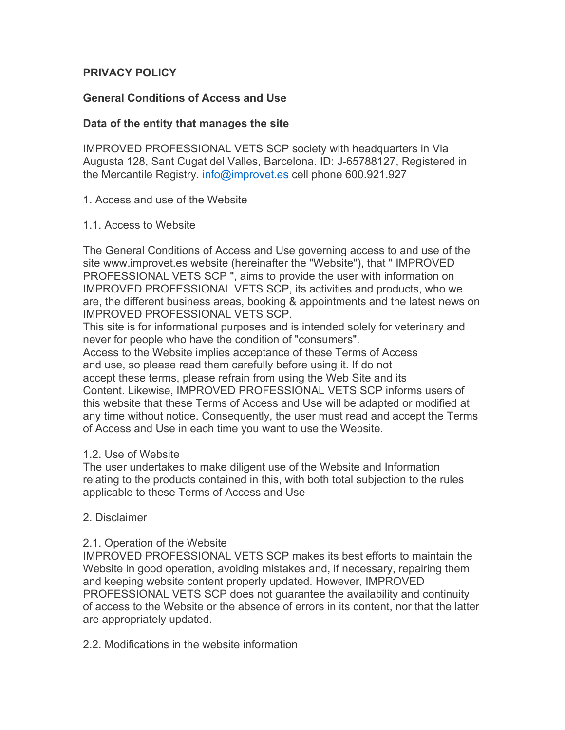# **PRIVACY POLICY**

# **General Conditions of Access and Use**

### **Data of the entity that manages the site**

IMPROVED PROFESSIONAL VETS SCP society with headquarters in Via Augusta 128, Sant Cugat del Valles, Barcelona. ID: J-65788127, Registered in the Mercantile Registry. info@improvet.es cell phone 600.921.927

#### 1. Access and use of the Website

#### 1.1. Access to Website

The General Conditions of Access and Use governing access to and use of the site www.improvet.es website (hereinafter the "Website"), that " IMPROVED PROFESSIONAL VETS SCP ", aims to provide the user with information on IMPROVED PROFESSIONAL VETS SCP, its activities and products, who we are, the different business areas, booking & appointments and the latest news on IMPROVED PROFESSIONAL VETS SCP.

This site is for informational purposes and is intended solely for veterinary and never for people who have the condition of "consumers".

Access to the Website implies acceptance of these Terms of Access and use, so please read them carefully before using it. If do not accept these terms, please refrain from using the Web Site and its Content. Likewise, IMPROVED PROFESSIONAL VETS SCP informs users of this website that these Terms of Access and Use will be adapted or modified at any time without notice. Consequently, the user must read and accept the Terms of Access and Use in each time you want to use the Website.

#### 1.2. Use of Website

The user undertakes to make diligent use of the Website and Information relating to the products contained in this, with both total subjection to the rules applicable to these Terms of Access and Use

#### 2. Disclaimer

### 2.1. Operation of the Website

IMPROVED PROFESSIONAL VETS SCP makes its best efforts to maintain the Website in good operation, avoiding mistakes and, if necessary, repairing them and keeping website content properly updated. However, IMPROVED PROFESSIONAL VETS SCP does not guarantee the availability and continuity of access to the Website or the absence of errors in its content, nor that the latter are appropriately updated.

2.2. Modifications in the website information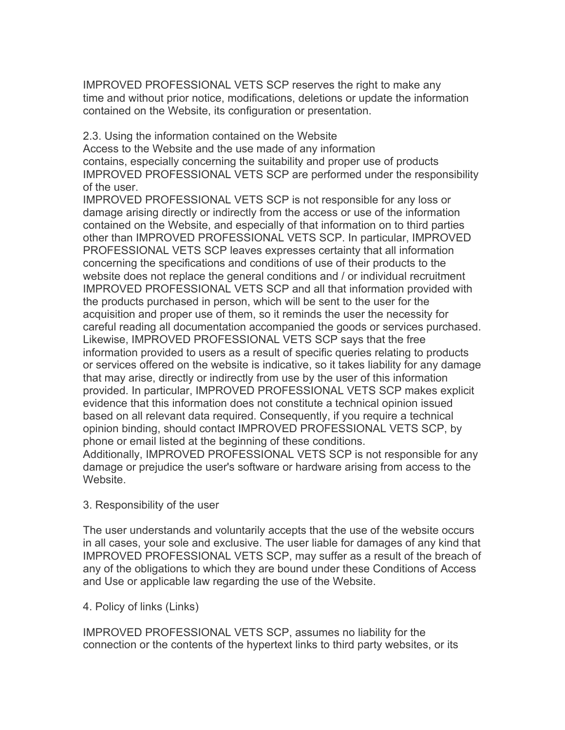IMPROVED PROFESSIONAL VETS SCP reserves the right to make any time and without prior notice, modifications, deletions or update the information contained on the Website, its configuration or presentation.

2.3. Using the information contained on the Website

Access to the Website and the use made of any information contains, especially concerning the suitability and proper use of products IMPROVED PROFESSIONAL VETS SCP are performed under the responsibility of the user.

IMPROVED PROFESSIONAL VETS SCP is not responsible for any loss or damage arising directly or indirectly from the access or use of the information contained on the Website, and especially of that information on to third parties other than IMPROVED PROFESSIONAL VETS SCP. In particular, IMPROVED PROFESSIONAL VETS SCP leaves expresses certainty that all information concerning the specifications and conditions of use of their products to the website does not replace the general conditions and / or individual recruitment IMPROVED PROFESSIONAL VETS SCP and all that information provided with the products purchased in person, which will be sent to the user for the acquisition and proper use of them, so it reminds the user the necessity for careful reading all documentation accompanied the goods or services purchased. Likewise, IMPROVED PROFESSIONAL VETS SCP says that the free information provided to users as a result of specific queries relating to products or services offered on the website is indicative, so it takes liability for any damage that may arise, directly or indirectly from use by the user of this information provided. In particular, IMPROVED PROFESSIONAL VETS SCP makes explicit evidence that this information does not constitute a technical opinion issued based on all relevant data required. Consequently, if you require a technical opinion binding, should contact IMPROVED PROFESSIONAL VETS SCP, by phone or email listed at the beginning of these conditions. Additionally, IMPROVED PROFESSIONAL VETS SCP is not responsible for any damage or prejudice the user's software or hardware arising from access to the Website.

3. Responsibility of the user

The user understands and voluntarily accepts that the use of the website occurs in all cases, your sole and exclusive. The user liable for damages of any kind that IMPROVED PROFESSIONAL VETS SCP, may suffer as a result of the breach of any of the obligations to which they are bound under these Conditions of Access and Use or applicable law regarding the use of the Website.

4. Policy of links (Links)

IMPROVED PROFESSIONAL VETS SCP, assumes no liability for the connection or the contents of the hypertext links to third party websites, or its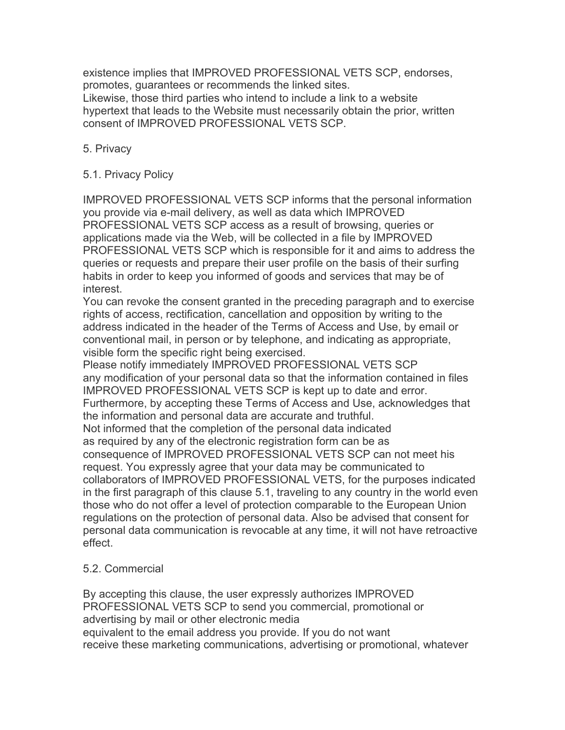existence implies that IMPROVED PROFESSIONAL VETS SCP, endorses, promotes, guarantees or recommends the linked sites. Likewise, those third parties who intend to include a link to a website hypertext that leads to the Website must necessarily obtain the prior, written consent of IMPROVED PROFESSIONAL VETS SCP.

# 5. Privacy

# 5.1. Privacy Policy

IMPROVED PROFESSIONAL VETS SCP informs that the personal information you provide via e-mail delivery, as well as data which IMPROVED PROFESSIONAL VETS SCP access as a result of browsing, queries or applications made via the Web, will be collected in a file by IMPROVED PROFESSIONAL VETS SCP which is responsible for it and aims to address the queries or requests and prepare their user profile on the basis of their surfing habits in order to keep you informed of goods and services that may be of interest.

You can revoke the consent granted in the preceding paragraph and to exercise rights of access, rectification, cancellation and opposition by writing to the address indicated in the header of the Terms of Access and Use, by email or conventional mail, in person or by telephone, and indicating as appropriate, visible form the specific right being exercised.

Please notify immediately IMPROVED PROFESSIONAL VETS SCP any modification of your personal data so that the information contained in files IMPROVED PROFESSIONAL VETS SCP is kept up to date and error. Furthermore, by accepting these Terms of Access and Use, acknowledges that the information and personal data are accurate and truthful. Not informed that the completion of the personal data indicated as required by any of the electronic registration form can be as consequence of IMPROVED PROFESSIONAL VETS SCP can not meet his request. You expressly agree that your data may be communicated to collaborators of IMPROVED PROFESSIONAL VETS, for the purposes indicated in the first paragraph of this clause 5.1, traveling to any country in the world even those who do not offer a level of protection comparable to the European Union regulations on the protection of personal data. Also be advised that consent for personal data communication is revocable at any time, it will not have retroactive effect.

### 5.2. Commercial

By accepting this clause, the user expressly authorizes IMPROVED PROFESSIONAL VETS SCP to send you commercial, promotional or advertising by mail or other electronic media equivalent to the email address you provide. If you do not want receive these marketing communications, advertising or promotional, whatever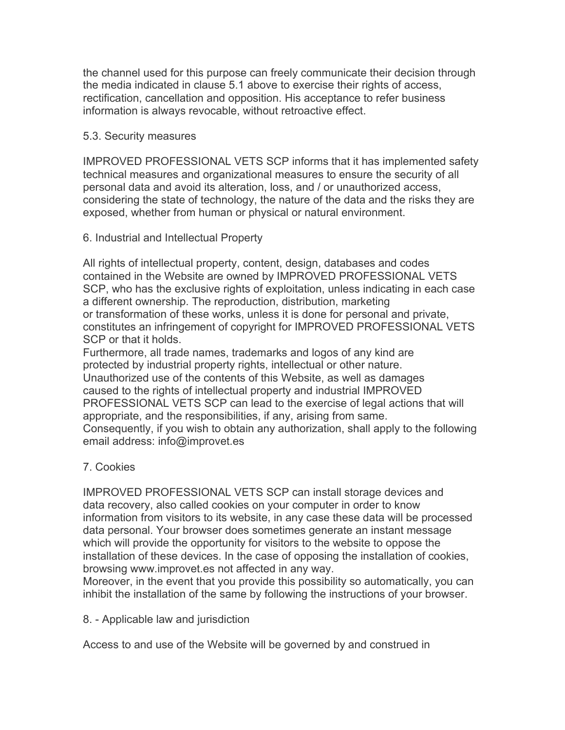the channel used for this purpose can freely communicate their decision through the media indicated in clause 5.1 above to exercise their rights of access, rectification, cancellation and opposition. His acceptance to refer business information is always revocable, without retroactive effect.

### 5.3. Security measures

IMPROVED PROFESSIONAL VETS SCP informs that it has implemented safety technical measures and organizational measures to ensure the security of all personal data and avoid its alteration, loss, and / or unauthorized access, considering the state of technology, the nature of the data and the risks they are exposed, whether from human or physical or natural environment.

### 6. Industrial and Intellectual Property

All rights of intellectual property, content, design, databases and codes contained in the Website are owned by IMPROVED PROFESSIONAL VETS SCP, who has the exclusive rights of exploitation, unless indicating in each case a different ownership. The reproduction, distribution, marketing or transformation of these works, unless it is done for personal and private, constitutes an infringement of copyright for IMPROVED PROFESSIONAL VETS SCP or that it holds.

Furthermore, all trade names, trademarks and logos of any kind are protected by industrial property rights, intellectual or other nature. Unauthorized use of the contents of this Website, as well as damages caused to the rights of intellectual property and industrial IMPROVED PROFESSIONAL VETS SCP can lead to the exercise of legal actions that will appropriate, and the responsibilities, if any, arising from same. Consequently, if you wish to obtain any authorization, shall apply to the following email address: info@improvet.es

# 7. Cookies

IMPROVED PROFESSIONAL VETS SCP can install storage devices and data recovery, also called cookies on your computer in order to know information from visitors to its website, in any case these data will be processed data personal. Your browser does sometimes generate an instant message which will provide the opportunity for visitors to the website to oppose the installation of these devices. In the case of opposing the installation of cookies, browsing www.improvet.es not affected in any way.

Moreover, in the event that you provide this possibility so automatically, you can inhibit the installation of the same by following the instructions of your browser.

8. - Applicable law and jurisdiction

Access to and use of the Website will be governed by and construed in